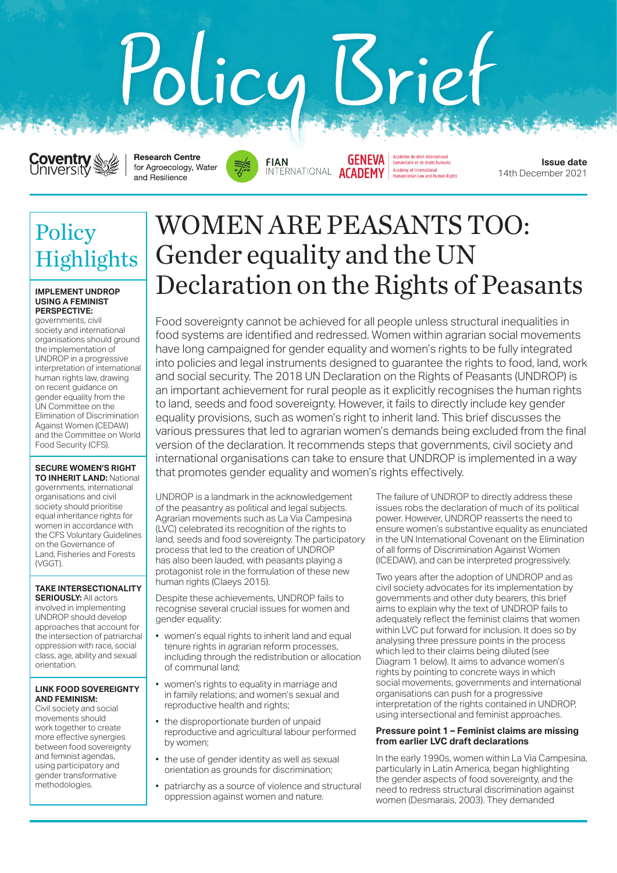# Policy Sriet



**Research Centre** for Agroecology, Water and Resilience



Académie de droit international<br>humanitaire et de droits humains **GENEVA** INTERNATIONAL ACADEMY Academy of International<br>Humanitarian Law and Human Rights

**Issue date** 14th December 2021

## Policy Highlights

### **IMPLEMENT UNDROP USING A FEMINIST PERSPECTIVE:**

governments, civil society and international organisations should ground the implementation of UNDROP in a progressive interpretation of international human rights law, drawing on recent guidance on gender equality from the UN Committee on the Elimination of Discrimination Against Women (CEDAW) and the Committee on World Food Security (CFS).

## **SECURE WOMEN'S RIGHT**

**TO INHERIT LAND:** National governments, international organisations and civil society should prioritise equal inheritance rights for women in accordance with the CFS Voluntary Guidelines on the Governance of Land, Fisheries and Forests (VGGT).

## **TAKE INTERSECTIONALITY SERIOUSLY: All actors**

involved in implementing UNDROP should develop approaches that account for the intersection of patriarchal oppression with race, social class, age, ability and sexual orientation.

## **LINK FOOD SOVEREIGNTY AND FEMINISM:**

Civil society and social movements should work together to create more effective synergies between food sovereignty and feminist agendas, using participatory and gender transformative methodologies.

# WOMEN ARE PEASANTS TOO: Gender equality and the UN Declaration on the Rights of Peasants

Food sovereignty cannot be achieved for all people unless structural inequalities in food systems are identified and redressed. Women within agrarian social movements have long campaigned for gender equality and women's rights to be fully integrated into policies and legal instruments designed to guarantee the rights to food, land, work and social security. The 2018 UN Declaration on the Rights of Peasants (UNDROP) is an important achievement for rural people as it explicitly recognises the human rights to land, seeds and food sovereignty. However, it fails to directly include key gender equality provisions, such as women's right to inherit land. This brief discusses the various pressures that led to agrarian women's demands being excluded from the final version of the declaration. It recommends steps that governments, civil society and international organisations can take to ensure that UNDROP is implemented in a way that promotes gender equality and women's rights effectively.

UNDROP is a landmark in the acknowledgement of the peasantry as political and legal subjects. Agrarian movements such as La Via Campesina (LVC) celebrated its recognition of the rights to land, seeds and food sovereignty. The participatory process that led to the creation of UNDROP has also been lauded, with peasants playing a protagonist role in the formulation of these new human rights (Claeys 2015).

Despite these achievements, UNDROP fails to recognise several crucial issues for women and gender equality:

- women's equal rights to inherit land and equal tenure rights in agrarian reform processes, including through the redistribution or allocation of communal land;
- women's rights to equality in marriage and in family relations; and women's sexual and reproductive health and rights;
- the disproportionate burden of unpaid reproductive and agricultural labour performed by women;
- the use of gender identity as well as sexual orientation as grounds for discrimination;
- patriarchy as a source of violence and structural oppression against women and nature.

The failure of UNDROP to directly address these issues robs the declaration of much of its political power. However, UNDROP reasserts the need to ensure women's substantive equality as enunciated in the UN International Covenant on the Elimination of all forms of Discrimination Against Women (ICEDAW), and can be interpreted progressively.

Two years after the adoption of UNDROP and as civil society advocates for its implementation by governments and other duty bearers, this brief aims to explain why the text of UNDROP fails to adequately reflect the feminist claims that women within LVC put forward for inclusion. It does so by analysing three pressure points in the process which led to their claims being diluted (see Diagram 1 below). It aims to advance women's rights by pointing to concrete ways in which social movements, governments and international organisations can push for a progressive interpretation of the rights contained in UNDROP, using intersectional and feminist approaches.

## **Pressure point 1 – Feminist claims are missing from earlier LVC draft declarations**

In the early 1990s, women within La Via Campesina, particularly in Latin America, began highlighting the gender aspects of food sovereignty, and the need to redress structural discrimination against women (Desmarais, 2003). They demanded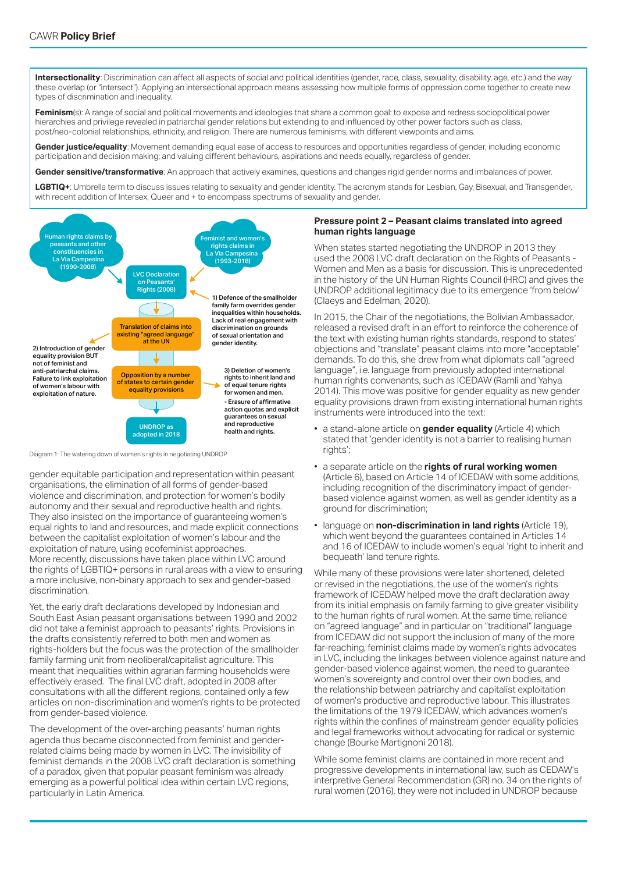**Intersectionality**: Discrimination can affect all aspects of social and political identities (gender, race, class, sexuality, disability, age, etc.) and the way these overlap (or "intersect"). Applying an intersectional approach means assessing how multiple forms of oppression come together to create new types of discrimination and inequality.

Feminism(s): A range of social and political movements and ideologies that share a common goal: to expose and redress sociopolitical power hierarchies and privilege revealed in patriarchal gender relations but extending to and influenced by other power factors such as class, post/neo-colonial relationships, ethnicity, and religion. There are numerous feminisms, with different viewpoints and aims.

**Gender justice/equality**: Movement demanding equal ease of access to resources and opportunities regardless of gender, including economic participation and decision making; and valuing different behaviours, aspirations and needs equally, regardless of gender.

**Gender sensitive/transformative**: An approach that actively examines, questions and changes rigid gender norms and imbalances of power.

**LGBTIQ+**: Umbrella term to discuss issues relating to sexuality and gender identity. The acronym stands for Lesbian, Gay, Bisexual, and Transgender, with recent addition of Intersex, Queer and + to encompass spectrums of sexuality and gender.



Diagram 1: The watering down of women's rights in negotiating UNDROP

gender equitable participation and representation within peasant organisations, the elimination of all forms of gender-based violence and discrimination, and protection for women's bodily autonomy and their sexual and reproductive health and rights. They also insisted on the importance of guaranteeing women's equal rights to land and resources, and made explicit connections between the capitalist exploitation of women's labour and the exploitation of nature, using ecofeminist approaches. More recently, discussions have taken place within LVC around the rights of LGBTIQ+ persons in rural areas with a view to ensuring a more inclusive, non-binary approach to sex and gender-based discrimination.

Yet, the early draft declarations developed by Indonesian and South East Asian peasant organisations between 1990 and 2002 did not take a feminist approach to peasants' rights. Provisions in the drafts consistently referred to both men and women as rights-holders but the focus was the protection of the smallholder family farming unit from neoliberal/capitalist agriculture. This meant that inequalities within agrarian farming households were effectively erased. The final LVC draft, adopted in 2008 after consultations with all the different regions, contained only a few articles on non-discrimination and women's rights to be protected from gender-based violence.

The development of the over-arching peasants' human rights agenda thus became disconnected from feminist and genderrelated claims being made by women in LVC. The invisibility of feminist demands in the 2008 LVC draft declaration is something of a paradox, given that popular peasant feminism was already emerging as a powerful political idea within certain LVC regions, particularly in Latin America.

## **Pressure point 2 – Peasant claims translated into agreed human rights language**

When states started negotiating the UNDROP in 2013 they used the 2008 LVC draft declaration on the Rights of Peasants - Women and Men as a basis for discussion. This is unprecedented in the history of the UN Human Rights Council (HRC) and gives the UNDROP additional legitimacy due to its emergence 'from below' (Claeys and Edelman, 2020).

In 2015, the Chair of the negotiations, the Bolivian Ambassador, released a revised draft in an effort to reinforce the coherence of the text with existing human rights standards, respond to states' objections and "translate" peasant claims into more "acceptable" demands. To do this, she drew from what diplomats call "agreed language", i.e. language from previously adopted international human rights convenants, such as ICEDAW (Ramli and Yahya 2014). This move was positive for gender equality as new gender equality provisions drawn from existing international human rights instruments were introduced into the text:

- a stand-alone article on **gender equality** (Article 4) which stated that 'gender identity is not a barrier to realising human rights';
- a separate article on the **rights of rural working women** (Article 6), based on Article 14 of ICEDAW with some additions, including recognition of the discriminatory impact of genderbased violence against women, as well as gender identity as a ground for discrimination;
- language on **non-discrimination in land rights** (Article 19), which went beyond the guarantees contained in Articles 14 and 16 of ICEDAW to include women's equal 'right to inherit and bequeath' land tenure rights.

While many of these provisions were later shortened, deleted or revised in the negotiations, the use of the women's rights framework of ICEDAW helped move the draft declaration away from its initial emphasis on family farming to give greater visibility to the human rights of rural women. At the same time, reliance on "agreed language" and in particular on "traditional" language from ICEDAW did not support the inclusion of many of the more far-reaching, feminist claims made by women's rights advocates in LVC, including the linkages between violence against nature and gender-based violence against women, the need to guarantee women's sovereignty and control over their own bodies, and the relationship between patriarchy and capitalist exploitation of women's productive and reproductive labour. This illustrates the limitations of the 1979 ICEDAW, which advances women's rights within the confines of mainstream gender equality policies and legal frameworks without advocating for radical or systemic change (Bourke Martignoni 2018).

While some feminist claims are contained in more recent and progressive developments in international law, such as CEDAW's interpretive General Recommendation (GR) no. 34 on the rights of rural women (2016), they were not included in UNDROP because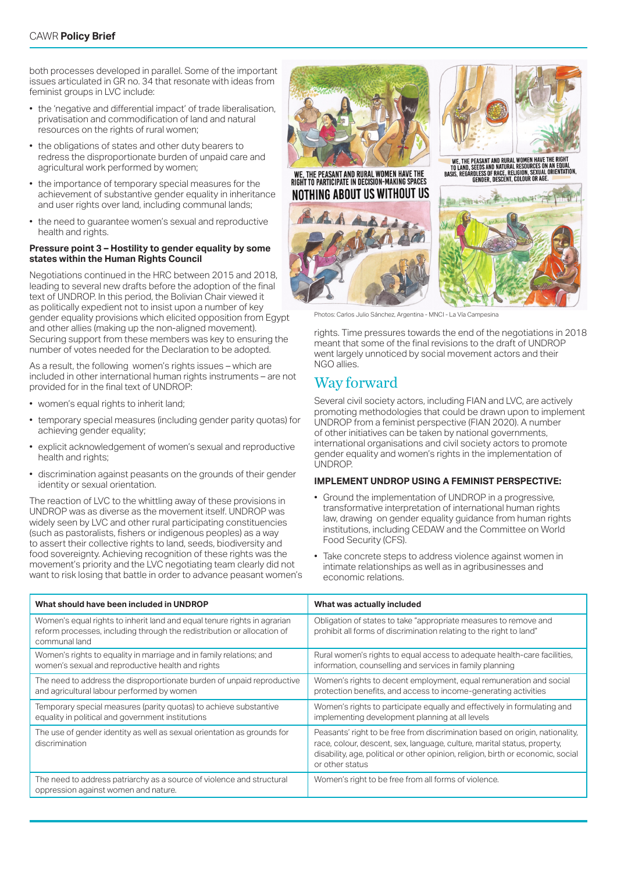both processes developed in parallel. Some of the important issues articulated in GR no. 34 that resonate with ideas from feminist groups in LVC include:

- the 'negative and differential impact' of trade liberalisation, privatisation and commodification of land and natural resources on the rights of rural women;
- the obligations of states and other duty bearers to redress the disproportionate burden of unpaid care and agricultural work performed by women;
- the importance of temporary special measures for the achievement of substantive gender equality in inheritance and user rights over land, including communal lands;
- the need to guarantee women's sexual and reproductive health and rights.

## **Pressure point 3 – Hostility to gender equality by some states within the Human Rights Council**

Negotiations continued in the HRC between 2015 and 2018, leading to several new drafts before the adoption of the final text of UNDROP. In this period, the Bolivian Chair viewed it as politically expedient not to insist upon a number of key gender equality provisions which elicited opposition from Egypt and other allies (making up the non-aligned movement). Securing support from these members was key to ensuring the number of votes needed for the Declaration to be adopted.

As a result, the following women's rights issues – which are included in other international human rights instruments – are not provided for in the final text of UNDROP:

- women's equal rights to inherit land;
- temporary special measures (including gender parity quotas) for achieving gender equality;
- explicit acknowledgement of women's sexual and reproductive health and rights;
- discrimination against peasants on the grounds of their gender identity or sexual orientation.

The reaction of LVC to the whittling away of these provisions in UNDROP was as diverse as the movement itself. UNDROP was widely seen by LVC and other rural participating constituencies (such as pastoralists, fishers or indigenous peoples) as a way to assert their collective rights to land, seeds, biodiversity and food sovereignty. Achieving recognition of these rights was the movement's priority and the LVC negotiating team clearly did not want to risk losing that battle in order to advance peasant women's







WE, THE PEASANT AND RURAL WOMEN HAVE THE RIGHT<br>To Land, Seeds and Natural Resources on an Equal<br>Basis, RegardLess of Race, Religion, Sexual Orientation,<br>Basis, RegardLess of Resolvit, Colour or Age.



Photos: Carlos Julio Sánchez, Argentina - MNCI - La Vía Campe

rights. Time pressures towards the end of the negotiations in 2018 meant that some of the final revisions to the draft of UNDROP went largely unnoticed by social movement actors and their NGO allies.

## Way forward

Several civil society actors, including FIAN and LVC, are actively promoting methodologies that could be drawn upon to implement UNDROP from a feminist perspective (FIAN 2020). A number of other initiatives can be taken by national governments, international organisations and civil society actors to promote gender equality and women's rights in the implementation of UNDROP.

## **IMPLEMENT UNDROP USING A FEMINIST PERSPECTIVE:**

- Ground the implementation of UNDROP in a progressive, transformative interpretation of international human rights law, drawing on gender equality guidance from human rights institutions, including CEDAW and the Committee on World Food Security (CFS).
- Take concrete steps to address violence against women in intimate relationships as well as in agribusinesses and economic relations.

| What should have been included in UNDROP                                                                                                                             | What was actually included                                                                                                                                                                                                                                      |
|----------------------------------------------------------------------------------------------------------------------------------------------------------------------|-----------------------------------------------------------------------------------------------------------------------------------------------------------------------------------------------------------------------------------------------------------------|
| Women's equal rights to inherit land and equal tenure rights in agrarian<br>reform processes, including through the redistribution or allocation of<br>communal land | Obligation of states to take "appropriate measures to remove and<br>prohibit all forms of discrimination relating to the right to land"                                                                                                                         |
| Women's rights to equality in marriage and in family relations; and<br>women's sexual and reproductive health and rights                                             | Rural women's rights to equal access to adequate health-care facilities,<br>information, counselling and services in family planning                                                                                                                            |
| The need to address the disproportionate burden of unpaid reproductive<br>and agricultural labour performed by women                                                 | Women's rights to decent employment, equal remuneration and social<br>protection benefits, and access to income-generating activities                                                                                                                           |
| Temporary special measures (parity quotas) to achieve substantive<br>equality in political and government institutions                                               | Women's rights to participate equally and effectively in formulating and<br>implementing development planning at all levels                                                                                                                                     |
| The use of gender identity as well as sexual orientation as grounds for<br>discrimination                                                                            | Peasants' right to be free from discrimination based on origin, nationality,<br>race, colour, descent, sex, language, culture, marital status, property,<br>disability, age, political or other opinion, religion, birth or economic, social<br>or other status |
| The need to address patriarchy as a source of violence and structural<br>oppression against women and nature.                                                        | Women's right to be free from all forms of violence.                                                                                                                                                                                                            |